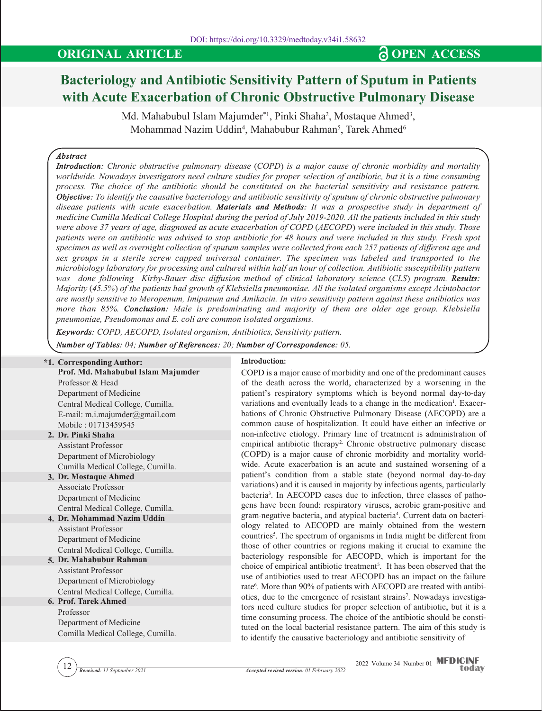# **Bacteriology and Antibiotic Sensitivity Pattern of Sputum in Patients with Acute Exacerbation of Chronic Obstructive Pulmonary Disease**

Md. Mahabubul Islam Majumder\*1, Pinki Shaha<sup>2</sup>, Mostaque Ahmed<sup>3</sup>, Mohammad Nazim Uddin<sup>4</sup>, Mahabubur Rahman<sup>5</sup>, Tarek Ahmed<sup>6</sup>

# *Abstract*

*Introduction: Chronic obstructive pulmonary disease (COPD) is a major cause of chronic morbidity and mortality worldwide. Nowadays investigators need culture studies for proper selection of antibiotic, but it is a time consuming process. The choice of the antibiotic should be constituted on the bacterial sensitivity and resistance pattern. Objective: To identify the causative bacteriology and antibiotic sensitivity of sputum of chronic obstructive pulmonary disease patients with acute exacerbation. Materials and Methods: It was a prospective study in department of medicine Cumilla Medical College Hospital during the period of July 2019-2020. All the patients included in this study were above 37 years of age, diagnosed as acute exacerbation of COPD (AECOPD) were included in this study. Those patients were on antibiotic was advised to stop antibiotic for 48 hours and were included in this study. Fresh spot specimen as well as overnight collection of sputum samples were collected from each 257 patients of different age and sex groups in a sterile screw capped universal container. The specimen was labeled and transported to the microbiology laboratory for processing and cultured within half an hour of collection. Antibiotic susceptibility pattern was done following Kirby-Bauer disc diffusion method of clinical laboratory science (CLS) program. Results: Majority (45.5%) of the patients had growth of Klebsiella pneumoniae. All the isolated organisms except Acintobactor are mostly sensitive to Meropenum, Imipanum and Amikacin. In vitro sensitivity pattern against these antibiotics was more than 85%. Conclusion: Male is predominating and majority of them are older age group. Klebsiella pneumoniae, Pseudomonas and E. coli are common isolated organisms.*

*Keywords: COPD, AECOPD, Isolated organism, Antibiotics, Sensitivity pattern.*

*Number of Tables: 04; Number of References: 20; Number of Correspondence: 05.*

#### **2. Dr. Pinki Shaha 3. Dr. Mostaque Ahmed 4. Dr. Mohammad Nazim Uddin 5. Dr. Mahabubur Rahman 6. Prof. Tarek Ahmed \*1. Corresponding Author: Prof. Md. Mahabubul Islam Majumder** Professor & Head Department of Medicine Central Medical College, Cumilla. E-mail: m.i.majumder@gmail.com Mobile : 01713459545 Assistant Professor Department of Microbiology Cumilla Medical College, Cumilla. Associate Professor Department of Medicine Central Medical College, Cumilla. Assistant Professor Department of Medicine Central Medical College, Cumilla. Assistant Professor Department of Microbiology Central Medical College, Cumilla. Professor Department of Medicine Comilla Medical College, Cumilla. **Introduction:**  COPD is a major cause of morbidity and one of the predominant causes of the death across the world, characterized by a worsening in the patient's respiratory symptoms which is beyond normal day-to-day variations and eventually leads to a change in the medication<sup>1</sup>. Exacerbations of Chronic Obstructive Pulmonary Disease (AECOPD) are a common cause of hospitalization. It could have either an infective or non-infective etiology. Primary line of treatment is administration of empirical antibiotic therapy<sup>2</sup>. Chronic obstructive pulmonary disease (COPD) is a major cause of chronic morbidity and mortality worldwide. Acute exacerbation is an acute and sustained worsening of a patient's condition from a stable state (beyond normal day-to-day variations) and it is caused in majority by infectious agents, particularly bacteria3 . In AECOPD cases due to infection, three classes of pathogens have been found: respiratory viruses, aerobic gram-positive and gram-negative bacteria, and atypical bacteria<sup>4</sup>. Current data on bacteriology related to AECOPD are mainly obtained from the western countries<sup>5</sup>. The spectrum of organisms in India might be different from those of other countries or regions making it crucial to examine the bacteriology responsible for AECOPD, which is important for the choice of empirical antibiotic treatment<sup>5</sup>. It has been observed that the use of antibiotics used to treat AECOPD has an impact on the failure rate<sup>6</sup>. More than 90% of patients with AECOPD are treated with antibiotics, due to the emergence of resistant strains<sup>7</sup>. Nowadays investigators need culture studies for proper selection of antibiotic, but it is a time consuming process. The choice of the antibiotic should be constituted on the local bacterial resistance pattern. The aim of this study is to identify the causative bacteriology and antibiotic sensitivity of

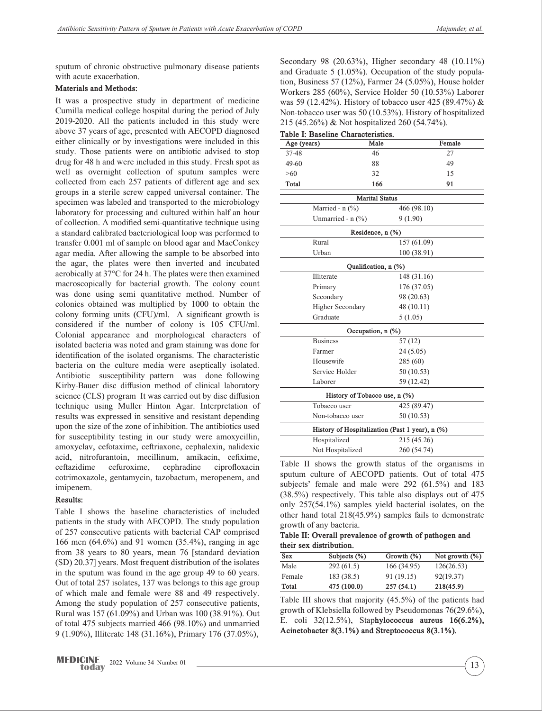sputum of chronic obstructive pulmonary disease patients with acute exacerbation.

### **Materials and Methods:**

It was a prospective study in department of medicine Cumilla medical college hospital during the period of July 2019-2020. All the patients included in this study were above 37 years of age, presented with AECOPD diagnosed either clinically or by investigations were included in this study. Those patients were on antibiotic advised to stop drug for 48 h and were included in this study. Fresh spot as well as overnight collection of sputum samples were collected from each 257 patients of different age and sex groups in a sterile screw capped universal container. The specimen was labeled and transported to the microbiology laboratory for processing and cultured within half an hour of collection. A modified semi-quantitative technique using a standard calibrated bacteriological loop was performed to transfer 0.001 ml of sample on blood agar and MacConkey agar media. After allowing the sample to be absorbed into the agar, the plates were then inverted and incubated aerobically at 37°C for 24 h. The plates were then examined macroscopically for bacterial growth. The colony count was done using semi quantitative method. Number of colonies obtained was multiplied by 1000 to obtain the colony forming units (CFU)/ml. A significant growth is considered if the number of colony is 105 CFU/ml. Colonial appearance and morphological characters of isolated bacteria was noted and gram staining was done for identification of the isolated organisms. The characteristic bacteria on the culture media were aseptically isolated. Antibiotic susceptibility pattern was done following Kirby-Bauer disc diffusion method of clinical laboratory science (CLS) program It was carried out by disc diffusion technique using Muller Hinton Agar. Interpretation of results was expressed in sensitive and resistant depending upon the size of the zone of inhibition. The antibiotics used for susceptibility testing in our study were amoxycillin, amoxyclav, cefotaxime, ceftriaxone, cephalexin, nalidexic acid, nitrofurantoin, mecillinum, amikacin, cefixime, ceftazidime cefuroxime, cephradine ciprofloxacin cotrimoxazole, gentamycin, tazobactum, meropenem, and imipenem.

### **Results:**

Table I shows the baseline characteristics of included patients in the study with AECOPD. The study population of 257 consecutive patients with bacterial CAP comprised 166 men (64.6%) and 91 women (35.4%), ranging in age from 38 years to 80 years, mean 76 [standard deviation (SD) 20.37] years. Most frequent distribution of the isolates in the sputum was found in the age group 49 to 60 years. Out of total 257 isolates, 137 was belongs to this age group of which male and female were 88 and 49 respectively. Among the study population of 257 consecutive patients, Rural was 157 (61.09%) and Urban was 100 (38.91%). Out of total 475 subjects married 466 (98.10%) and unmarried 9 (1.90%), Illiterate 148 (31.16%), Primary 176 (37.05%),

Secondary 98 (20.63%), Higher secondary 48 (10.11%) and Graduate 5 (1.05%). Occupation of the study population, Business 57 (12%), Farmer 24 (5.05%), House holder Workers 285 (60%), Service Holder 50 (10.53%) Laborer was 59 (12.42%). History of tobacco user 425 (89.47%) & Non-tobacco user was 50 (10.53%). History of hospitalized 215 (45.26%) & Not hospitalized 260 (54.74%).

| Table I: Baseline Characteristics. |                       |                                                 |  |  |  |  |  |
|------------------------------------|-----------------------|-------------------------------------------------|--|--|--|--|--|
| Age (years)                        | Male                  | Female                                          |  |  |  |  |  |
| 37-48                              | 46                    | 27                                              |  |  |  |  |  |
| 49-60                              | 88                    | 49                                              |  |  |  |  |  |
| $>60$                              | 32                    | 15                                              |  |  |  |  |  |
| Total                              | 166                   | 91                                              |  |  |  |  |  |
|                                    | <b>Marital Status</b> |                                                 |  |  |  |  |  |
| Married - $n$ (%)                  |                       | 466 (98.10)                                     |  |  |  |  |  |
| Unmarried - $n$ (%)                |                       | 9(1.90)                                         |  |  |  |  |  |
|                                    | Residence, n (%)      |                                                 |  |  |  |  |  |
| Rural                              |                       | 157 (61.09)                                     |  |  |  |  |  |
| Urban                              |                       | 100 (38.91)                                     |  |  |  |  |  |
|                                    | Qualification, n (%)  |                                                 |  |  |  |  |  |
| Illiterate                         |                       | 148 (31.16)                                     |  |  |  |  |  |
| Primary                            |                       | 176 (37.05)                                     |  |  |  |  |  |
| Secondary                          |                       | 98 (20.63)                                      |  |  |  |  |  |
| <b>Higher Secondary</b>            |                       | 48 (10.11)                                      |  |  |  |  |  |
| Graduate                           |                       | 5(1.05)                                         |  |  |  |  |  |
|                                    | Occupation, n (%)     |                                                 |  |  |  |  |  |
| <b>Business</b>                    |                       | 57 (12)                                         |  |  |  |  |  |
| Farmer                             |                       | 24(5.05)                                        |  |  |  |  |  |
| Housewife                          |                       | 285(60)                                         |  |  |  |  |  |
| Service Holder                     |                       | 50 (10.53)                                      |  |  |  |  |  |
| Laborer                            |                       | 59 (12.42)                                      |  |  |  |  |  |
| History of Tobacco use, n (%)      |                       |                                                 |  |  |  |  |  |
| Tobacco user                       |                       | 425 (89.47)                                     |  |  |  |  |  |
| Non-tobacco user                   |                       | 50 (10.53)                                      |  |  |  |  |  |
|                                    |                       | History of Hospitalization (Past 1 year), n (%) |  |  |  |  |  |
| Hospitalized                       |                       | 215 (45.26)                                     |  |  |  |  |  |
| Not Hospitalized                   |                       | 260 (54.74)                                     |  |  |  |  |  |
|                                    |                       |                                                 |  |  |  |  |  |

Table II shows the growth status of the organisms in sputum culture of AECOPD patients. Out of total 475 subjects' female and male were 292 (61.5%) and 183 (38.5%) respectively. This table also displays out of 475 only 257(54.1%) samples yield bacterial isolates, on the other hand total 218(45.9%) samples fails to demonstrate growth of any bacteria.

**Table II: Overall prevalence of growth of pathogen and their sex distribution.**

| Sex    | Subjects $(\%)$ | Growth $(\%)$ | Not growth $(\%)$ |
|--------|-----------------|---------------|-------------------|
| Male   | 292(61.5)       | 166 (34.95)   | 126(26.53)        |
| Female | 183 (38.5)      | 91 (19.15)    | 92(19.37)         |
| Total  | 475 (100.0)     | 257(54.1)     | 218(45.9)         |

Table III shows that majority (45.5%) of the patients had growth of Klebsiella followed by Pseudomonas 76(29.6%), E. coli 32(12.5%), Stap**hylococcus aureus 16(6.2%), Acinetobacter 8(3.1%) and Streptococcus 8(3.1%).**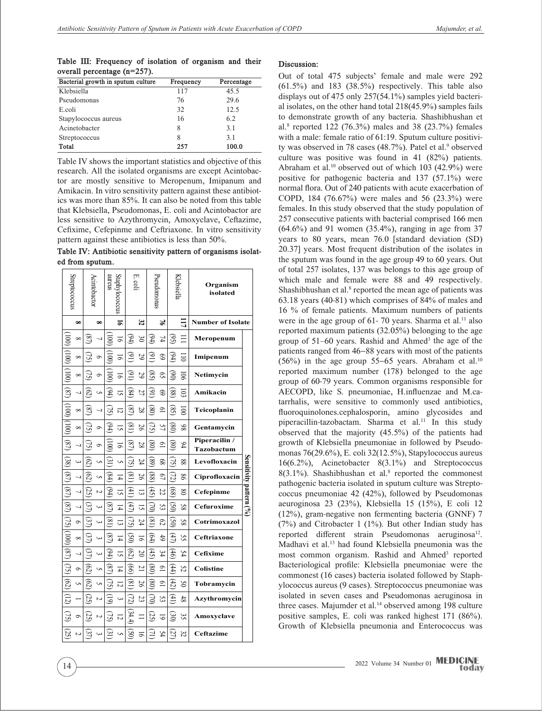**Table III: Frequency of isolation of organism and their overall percentage (n=257).**

| Bacterial growth in sputum culture | Frequency | Percentage |
|------------------------------------|-----------|------------|
| Klebsiella                         | 117       | 45.5       |
| Pseudomonas                        | 76        | 29.6       |
| E.coli                             | 32        | 12.5       |
| Stapylococcus aureus               | 16        | 6.2        |
| Acinetobacter                      | 8         | 3.1        |
| Streptococcus                      | 8         | 3.1        |
| Total                              | 257       | 100.0      |

Table IV shows the important statistics and objective of this research. All the isolated organisms are except Acintobactor are mostly sensitive to Meropenum, Imipanum and Amikacin. In vitro sensitivity pattern against these antibiotics was more than 85%. It can also be noted from this table that Klebsiella, Pseudomonas, E. coli and Acintobactor are less sensitive to Azythromycin, Amoxyclave, Ceftazime, Cefixime, Cefepinme and Ceftriaxone. In vitro sensitivity pattern against these antibiotics is less than 50%.

**Table IV: Antibiotic sensitivity pattern of organisms isolated from sputum.**

| Streptococcus              |                       | Acintobactor   |                | Staphylococcus<br>aureus |                |                                                | Ë.<br>.coli     |                            | Pseudomonas    |                            | Klebsiella      | Organism<br>isolated        |                            |  |
|----------------------------|-----------------------|----------------|----------------|--------------------------|----------------|------------------------------------------------|-----------------|----------------------------|----------------|----------------------------|-----------------|-----------------------------|----------------------------|--|
|                            | $\infty$              |                | $\infty$       |                          | $\overline{5}$ | 32                                             |                 |                            | $\frac{1}{2}$  | ΞI                         |                 | <b>Number of Isolate</b>    |                            |  |
|                            | $\infty$              | $^{(8)}$       |                |                          | 51             | $\Theta$ 4)                                    | $\approx$       | $\mathfrak{G}$             | 74             | <u>ઉં</u>                  |                 | Meropenum                   |                            |  |
|                            | $\infty$              | SI             | O              |                          | ᆕ              | G)                                             | 29              | $\odot$                    | $\mathcal{S}$  | $\mathfrak{G}$             | $\Xi$           | Imipenum                    |                            |  |
| $\frac{100}{2}$            | $\infty$              |                | Ó              |                          | 능              | $\overline{6}$                                 | 29              | $\widetilde{\mathbb{S}}$   | S)             | ලි                         | 50              | Netimycin                   |                            |  |
| $\mathbb{S}$               | ┙                     | 79             | S              | B4                       | ᇅ              | $\left[ \begin{matrix} 8 \end{matrix} \right]$ | 27              | $\Xi$                      | \$             | 88                         | 103             | Amikacin                    |                            |  |
| $(001)$ $(001)$            | $\infty$              |                |                | R                        | $\overline{2}$ | $^{28}$                                        | 28              | $_{\rm (08)}$              | $\overline{0}$ | $\widehat{\mathbb{S}}$     | $\overline{5}$  | Teicoplanin                 |                            |  |
|                            | $\infty$              |                | $\circ$        | 64                       | ದ              | $\left( 8\right)$                              | $\overline{56}$ | 30                         | 57             | (98)                       | 86              | Gentamycin                  |                            |  |
| (8)                        | 7                     |                | $\circ$        |                          | 5              | (8)                                            | 28              | $_{(08)}$                  | $\overline{9}$ | $_{\rm (08)}$              | 94              | Piperacilin /<br>Tazobactum |                            |  |
| $\left( 38\right)$         | $\tilde{\phantom{a}}$ | වි             | U)             | ලු                       | U)             | R                                              | 24              | 3                          | 89             | Э                          | 88              | Levofloxacin                |                            |  |
| $\mathfrak{g}_\mathcal{Q}$ | 4                     | (62            | U,             | (84)                     | Ħ              | $\left( \frac{8}{2} \right)$                   | 56              | $^{(88)}$                  | $\mathcal{L}$  | (72)                       | 98              | Ciprofloxacin               | Sensitivity pattern $(96)$ |  |
| (8)                        | J                     | S              | $\overline{c}$ | 54                       | ᇦ              | $\left( 41\right)$                             | 5               | $\mathcal{L}(\mathcal{L})$ | 22             | $\left( 8\right)$          | $\infty$        | Cefepinme                   |                            |  |
| (3)                        |                       |                |                | $^{28}$                  | 귝              | (47)                                           | 5               | 3                          | S3             | $\widetilde{\mathcal{S}}0$ | 58              | Cefuroxime                  |                            |  |
|                            | $\sigma$              |                | ىب             | $\overline{\mathbf{8}}$  | ದ              | CS.                                            | 24              | $\left(\frac{8}{2}\right)$ | $\mathcal{E}$  | $\widetilde{\mathrm{S}}$   | SS.             | Cotrimoxazol                |                            |  |
| $(75)$ (000) (87)          | $\infty$              |                |                |                          | $\overline{4}$ | වූ                                             | $\overline{9}$  | $\widehat{\mathfrak{B}}$   | $\ddot{6}$     | E                          | S,              | Ceftriaxone                 |                            |  |
|                            | 7                     |                | دى             | B                        | ΩÎ,            | $\widehat{\mathfrak{B}}$                       | $\infty$        | (45)                       | 54             | $\left( 46\right)$         | 54              | Cefixime                    |                            |  |
| 32                         | $\circ$               | $\overline{c}$ | U,             | $^{28}$                  | $\frac{1}{4}$  | $_{\odot}$                                     | $\overline{2}$  | $_{(08)}$                  | $\overline{9}$ | (44)                       | 52              | Colistine                   |                            |  |
| $(62)$ (12)                | U,                    | $\overline{c}$ | U,             | R                        | 12             | $\overline{18}$                                | 56              | $_{(08)}$                  | $\overline{0}$ | (42)                       | $\mathcal{S}^0$ | Tobramycin                  |                            |  |
|                            |                       | 52             | N              | ଟ                        | س              | (72                                            | $\mathfrak{B}$  | 3                          | S3             | $\left( 41\right)$         | 48              | Azythromycin                |                            |  |
| $\Im$                      | $\circ$               | 52             | $\overline{c}$ | 3                        | ನ              | (34.4                                          |                 | (25                        | 5              | ව                          | ပ္ပ             | Amoxyclave                  |                            |  |
| 3                          | N                     |                |                |                          | U)             | වූ                                             | 51              | Ξ                          | 54             | 57                         | 32              | Ceftazime                   |                            |  |

### **Discussion:**

Out of total 475 subjects' female and male were 292  $(61.5\%)$  and 183  $(38.5\%)$  respectively. This table also displays out of 475 only 257(54.1%) samples yield bacterial isolates, on the other hand total 218(45.9%) samples fails to demonstrate growth of any bacteria. Shashibhushan et al.8 reported 122 (76.3%) males and 38 (23.7%) females with a male: female ratio of 61:19. Sputum culture positivity was observed in 78 cases (48.7%). Patel et al.<sup>9</sup> observed culture was positive was found in 41 (82%) patients. Abraham et al.<sup>10</sup> observed out of which  $103$  (42.9%) were positive for pathogenic bacteria and 137 (57.1%) were normal flora. Out of 240 patients with acute exacerbation of COPD, 184 (76.67%) were males and 56 (23.3%) were females. In this study observed that the study population of 257 consecutive patients with bacterial comprised 166 men  $(64.6\%)$  and 91 women  $(35.4\%)$ , ranging in age from 37 years to 80 years, mean 76.0 [standard deviation (SD) 20.37] years. Most frequent distribution of the isolates in the sputum was found in the age group 49 to 60 years. Out of total 257 isolates, 137 was belongs to this age group of which male and female were 88 and 49 respectively. Shashibhushan et al.<sup>8</sup> reported the mean age of patients was 63.18 years (40-81) which comprises of 84% of males and 16 % of female patients. Maximum numbers of patients were in the age group of 61-70 years. Sharma et al.<sup>11</sup> also reported maximum patients (32.05%) belonging to the age group of 51–60 years. Rashid and Ahmed<sup>3</sup> the age of the patients ranged from 46−88 years with most of the patients (56%) in the age group 55−65 years. Abraham et al.10 reported maximum number (178) belonged to the age group of 60-79 years. Common organisms responsible for AECOPD, like S. pneumoniae, H.influenzae and M.catarrhalis, were sensitive to commonly used antibiotics, fluoroquinolones.cephalosporin, amino glycosides and piperacillin-tazobactam. Sharma et al.<sup>11</sup> In this study observed that the majority (45.5%) of the patients had growth of Klebsiella pneumoniae in followed by Pseudomonas 76(29.6%), E. coli 32(12.5%), Stapylococcus aureus 16(6.2%), Acinetobacter 8(3.1%) and Streptococcus  $8(3.1\%)$ . Shashibhushan et al.<sup>8</sup> reported the commonest pathogenic bacteria isolated in sputum culture was Streptococcus pneumoniae 42 (42%), followed by Pseudomonas aeuroginosa 23 (23%), Klebsiella 15 (15%), E coli 12 (12%), gram-negative non fermenting bacteria (GNNF) 7 (7%) and Citrobacter 1 (1%). But other Indian study has reported different strain Pseudomonas aeruginosa<sup>12</sup>. Madhavi et al.13 had found Klebsiella pneumonia was the most common organism. Rashid and Ahmed<sup>3</sup> reported Bacteriological profile: Klebsiella pneumoniae were the commonest (16 cases) bacteria isolated followed by Staphylococcus aureus (9 cases). Streptococcus pneumoniae was isolated in seven cases and Pseudomonas aeruginosa in three cases. Majumder et al.<sup>14</sup> observed among 198 culture positive samples, E. coli was ranked highest 171 (86%). Growth of Klebsiella pneumonia and Enterococcus was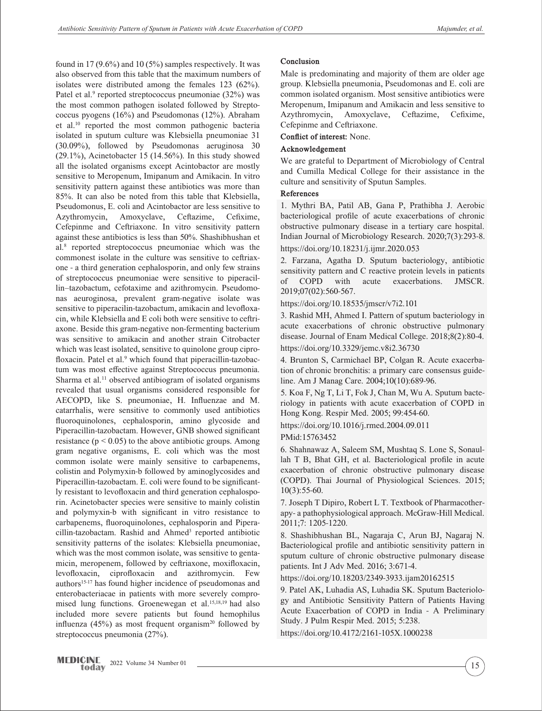found in 17 (9.6%) and 10 (5%) samples respectively. It was also observed from this table that the maximum numbers of isolates were distributed among the females 123 (62%). Patel et al.<sup>9</sup> reported streptococcus pneumoniae (32%) was the most common pathogen isolated followed by Streptococcus pyogens (16%) and Pseudomonas (12%). Abraham et al.10 reported the most common pathogenic bacteria isolated in sputum culture was Klebsiella pneumoniae 31 (30.09%), followed by Pseudomonas aeruginosa 30  $(29.1\%)$ , Acinetobacter 15 (14.56%). In this study showed all the isolated organisms except Acintobactor are mostly sensitive to Meropenum, Imipanum and Amikacin. In vitro sensitivity pattern against these antibiotics was more than 85%. It can also be noted from this table that Klebsiella, Pseudomonus, E. coli and Acintobactor are less sensitive to Azythromycin, Amoxyclave, Ceftazime, Cefixime, Cefepinme and Ceftriaxone. In vitro sensitivity pattern against these antibiotics is less than 50%. Shashibhushan et al.8 reported streptococcus pneumoniae which was the commonest isolate in the culture was sensitive to ceftriaxone - a third generation cephalosporin, and only few strains of streptococcus pneumoniae were sensitive to piperacillin–tazobactum, cefotaxime and azithromycin. Pseudomonas aeuroginosa, prevalent gram-negative isolate was sensitive to piperacilin-tazobactum, amikacin and levofloxacin, while Klebsiella and E coli both were sensitive to ceftriaxone. Beside this gram-negative non-fermenting bacterium was sensitive to amikacin and another strain Citrobacter which was least isolated, sensitive to quinolone group ciprofloxacin. Patel et al.<sup>9</sup> which found that piperacillin-tazobactum was most effective against Streptococcus pneumonia. Sharma et al.<sup>11</sup> observed antibiogram of isolated organisms revealed that usual organisms considered responsible for AECOPD, like S. pneumoniae, H. Influenzae and M. catarrhalis, were sensitive to commonly used antibiotics fluoroquinolones, cephalosporin, amino glycoside and Piperacillin-tazobactam. However, GNB showed significant resistance ( $p < 0.05$ ) to the above antibiotic groups. Among gram negative organisms, E. coli which was the most common isolate were mainly sensitive to carbapenems, colistin and Polymyxin-b followed by aminoglycosides and Piperacillin-tazobactam. E. coli were found to be significantly resistant to levofloxacin and third generation cephalosporin. Acinetobacter species were sensitive to mainly colistin and polymyxin-b with significant in vitro resistance to carbapenems, fluoroquinolones, cephalosporin and Piperacillin-tazobactam. Rashid and Ahmed<sup>3</sup> reported antibiotic sensitivity patterns of the isolates: Klebsiella pneumoniae, which was the most common isolate, was sensitive to gentamicin, meropenem, followed by ceftriaxone, moxifloxacin, levofloxacin, ciprofloxacin and azithromycin. Few authors<sup>15-17</sup> has found higher incidence of pseudomonas and enterobacteriacae in patients with more severely compromised lung functions. Groenewegan et al.<sup>15,18,19</sup> had also included more severe patients but found hemophilus influenza  $(45%)$  as most frequent organism<sup>20</sup> followed by streptococcus pneumonia (27%).

# **Conclusion**

Male is predominating and majority of them are older age group. Klebsiella pneumonia, Pseudomonas and E. coli are common isolated organism. Most sensitive antibiotics were Meropenum, Imipanum and Amikacin and less sensitive to Azythromycin, Amoxyclave, Ceftazime, Cefixime, Cefepinme and Ceftriaxone.

**Conflict of interest:** None.

# **Acknowledgement**

We are grateful to Department of Microbiology of Central and Cumilla Medical College for their assistance in the culture and sensitivity of Sputun Samples.

## **References**

1. Mythri BA, Patil AB, Gana P, Prathibha J. Aerobic bacteriological profile of acute exacerbations of chronic obstructive pulmonary disease in a tertiary care hospital. Indian Journal of Microbiology Research. 2020;7(3):293-8. https://doi.org/10.18231/j.ijmr.2020.053

2. Farzana, Agatha D. Sputum bacteriology, antibiotic sensitivity pattern and C reactive protein levels in patients of COPD with acute exacerbations. JMSCR. 2019;07(02):560-567.

https://doi.org/10.18535/jmscr/v7i2.101

3. Rashid MH, Ahmed I. Pattern of sputum bacteriology in acute exacerbations of chronic obstructive pulmonary disease. Journal of Enam Medical College. 2018;8(2):80-4. https://doi.org/10.3329/jemc.v8i2.36730

4. Brunton S, Carmichael BP, Colgan R. Acute exacerbation of chronic bronchitis: a primary care consensus guideline. Am J Manag Care. 2004;10(10):689-96.

5. Koa F, Ng T, Li T, Fok J, Chan M, Wu A. Sputum bacteriology in patients with acute exacerbation of COPD in Hong Kong. Respir Med. 2005; 99:454-60.

https://doi.org/10.1016/j.rmed.2004.09.011

PMid:15763452

6. Shahnawaz A, Saleem SM, Mushtaq S. Lone S, Sonaullah T B, Bhat GH, et al. Bacteriological profile in acute exacerbation of chronic obstructive pulmonary disease (COPD). Thai Journal of Physiological Sciences. 2015; 10(3):55-60.

7. Joseph T Dipiro, Robert L T. Textbook of Pharmacotherapy- a pathophysiological approach. McGraw-Hill Medical. 2011;7: 1205-1220.

8. Shashibhushan BL, Nagaraja C, Arun BJ, Nagaraj N. Bacteriological profile and antibiotic sensitivity pattern in sputum culture of chronic obstructive pulmonary disease patients. Int J Adv Med. 2016; 3:671-4.

https://doi.org/10.18203/2349-3933.ijam20162515

9. Patel AK, Luhadia AS, Luhadia SK. Sputum Bacteriology and Antibiotic Sensitivity Pattern of Patients Having Acute Exacerbation of COPD in India - A Preliminary Study. J Pulm Respir Med. 2015; 5:238.

https://doi.org/10.4172/2161-105X.1000238